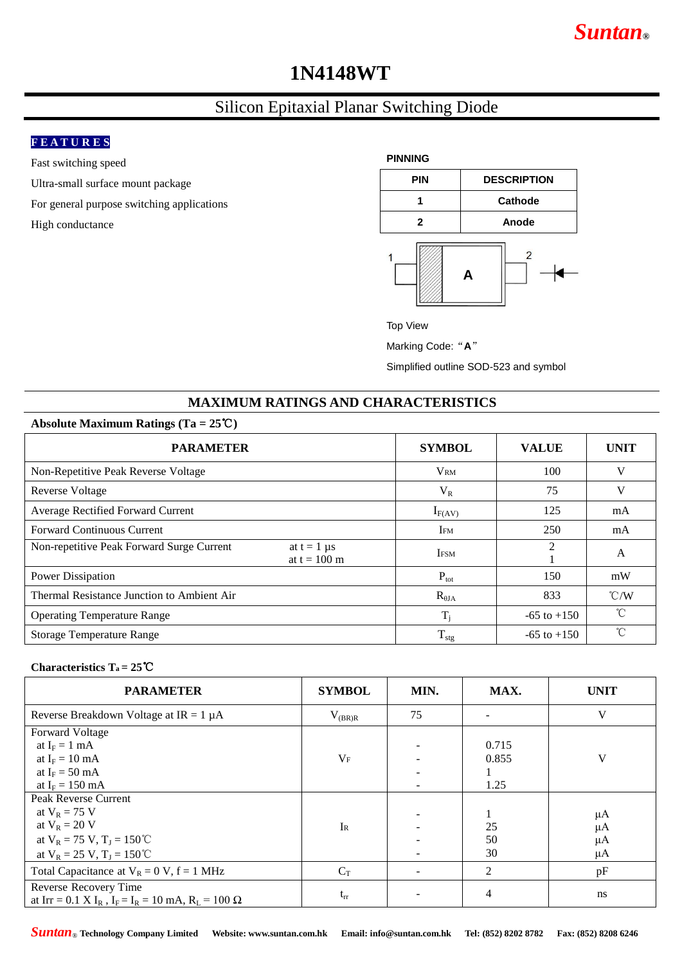# *Suntan***®**

# **1N4148WT**

## Silicon Epitaxial Planar Switching Diode

## **F E A T U R E S**

Fast switching speed

Ultra-small surface mount package

For general purpose switching applications

High conductance



Top View

Marking Code: "A"

Simplified outline SOD-523 and symbol

## **MAXIMUM RATINGS AND CHARACTERISTICS**

#### **Absolute Maximum Ratings (Ta = 25**℃**)**

| <b>PARAMETER</b>                                                             | <b>SYMBOL</b>    | <b>VALUE</b>    | <b>UNIT</b>   |
|------------------------------------------------------------------------------|------------------|-----------------|---------------|
| Non-Repetitive Peak Reverse Voltage                                          | <b>VRM</b>       | 100             | V             |
| <b>Reverse Voltage</b>                                                       | $V_R$            | 75              | V             |
| Average Rectified Forward Current                                            | $I_{F(AV)}$      | 125             | mA            |
| <b>Forward Continuous Current</b>                                            | IFM              | 250             | mA            |
| Non-repetitive Peak Forward Surge Current<br>at $t = 1$ µs<br>at $t = 100$ m | <b>IFSM</b>      | 2               | A             |
| Power Dissipation                                                            | $P_{\text{tot}}$ | 150             | mW            |
| Thermal Resistance Junction to Ambient Air                                   | $R_{\theta JA}$  | 833             | $\degree$ C/W |
| <b>Operating Temperature Range</b>                                           | $T_i$            | $-65$ to $+150$ | $^{\circ}C$   |
| <b>Storage Temperature Range</b>                                             | $T_{\rm stg}$    | $-65$ to $+150$ | °C            |

#### **Characteristics Ta = 25**℃

| <b>PARAMETER</b>                                                                                       | <b>SYMBOL</b> | MIN. | MAX.           | <b>UNIT</b> |
|--------------------------------------------------------------------------------------------------------|---------------|------|----------------|-------------|
| Reverse Breakdown Voltage at $IR = 1 \mu A$                                                            | $V_{(BR)R}$   | 75   |                | V           |
| <b>Forward Voltage</b>                                                                                 |               |      |                |             |
| at $I_F = 1$ mA                                                                                        |               |      | 0.715          |             |
| at $I_F = 10$ mA                                                                                       | $V_{\rm F}$   |      | 0.855          | V           |
| at $I_F = 50$ mA                                                                                       |               |      |                |             |
| at $I_F = 150$ mA                                                                                      |               |      | 1.25           |             |
| <b>Peak Reverse Current</b>                                                                            |               |      |                |             |
| at $V_R = 75$ V                                                                                        |               |      |                | $\mu A$     |
| at $V_R = 20 V$                                                                                        | $I_{R}$       |      | 25             | $\mu A$     |
| at $V_R = 75$ V, $T_I = 150$ °C                                                                        |               |      | 50             | μA          |
| at $V_R = 25 V$ , $T_I = 150 °C$                                                                       |               |      | 30             | μA          |
| Total Capacitance at $V_R = 0$ V, $f = 1$ MHz                                                          | $C_T$         |      | $\overline{2}$ | pF          |
| Reverse Recovery Time                                                                                  |               |      |                |             |
| at Irr = 0.1 X I <sub>R</sub> , I <sub>F</sub> = I <sub>R</sub> = 10 mA, R <sub>L</sub> = 100 $\Omega$ | $t_{rr}$      |      | 4              | ns          |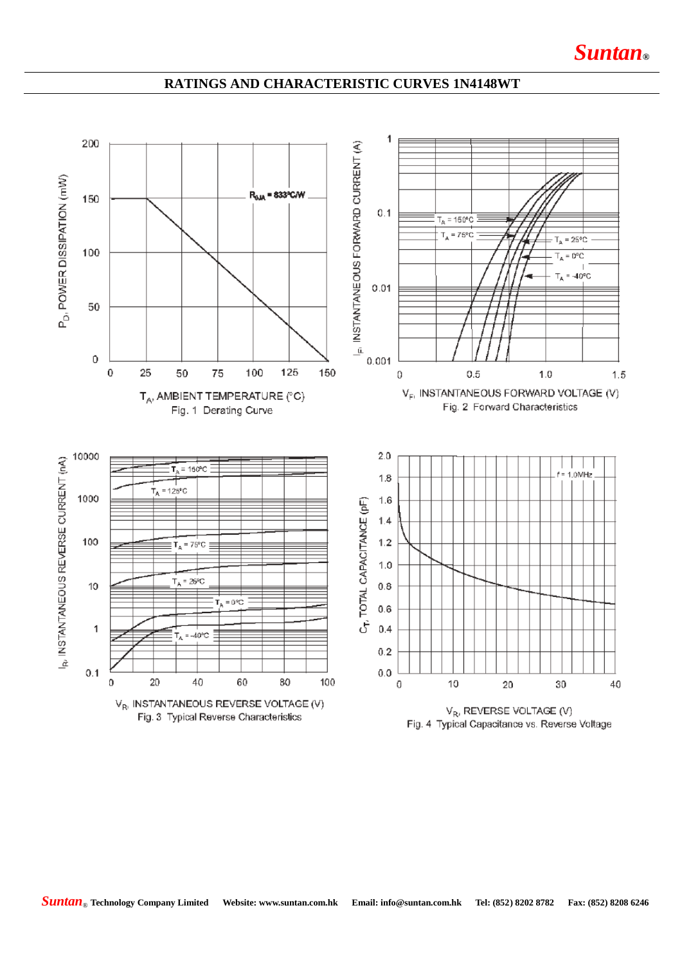## **RATINGS AND CHARACTERISTIC CURVES 1N4148WT**